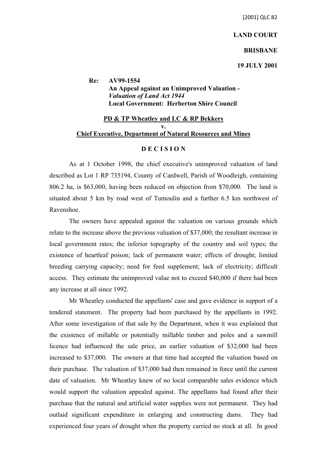### **LAND COURT**

### **BRISBANE**

### **19 JULY 2001**

**Re: AV99-1554 An Appeal against an Unimproved Valuation -** *Valuation of Land Act 1944* **Local Government: Herberton Shire Council**

# **PD & TP Wheatley and LC & RP Bekkers v. Chief Executive, Department of Natural Resources and Mines**

## **D E C I S I O N**

As at 1 October 1998, the chief executive's unimproved valuation of land described as Lot 1 RP 735194, County of Cardwell, Parish of Woodleigh, containing 806.2 ha, is \$63,000, having been reduced on objection from \$70,000. The land is situated about 5 km by road west of Tumoulin and a further 6.5 km northwest of Ravenshoe.

The owners have appealed against the valuation on various grounds which relate to the increase above the previous valuation of \$37,000; the resultant increase in local government rates; the inferior topography of the country and soil types; the existence of heartleaf poison; lack of permanent water; effects of drought; limited breeding carrying capacity; need for feed supplement; lack of electricity; difficult access. They estimate the unimproved value not to exceed \$40,000 if there had been any increase at all since 1992.

Mr Wheatley conducted the appellants' case and gave evidence in support of a tendered statement. The property had been purchased by the appellants in 1992. After some investigation of that sale by the Department, when it was explained that the existence of millable or potentially millable timber and poles and a sawmill licence had influenced the sale price, an earlier valuation of \$32,000 had been increased to \$37,000. The owners at that time had accepted the valuation based on their purchase. The valuation of \$37,000 had then remained in force until the current date of valuation. Mr Wheatley knew of no local comparable sales evidence which would support the valuation appealed against. The appellants had found after their purchase that the natural and artificial water supplies were not permanent. They had outlaid significant expenditure in enlarging and constructing dams. They had experienced four years of drought when the property carried no stock at all. In good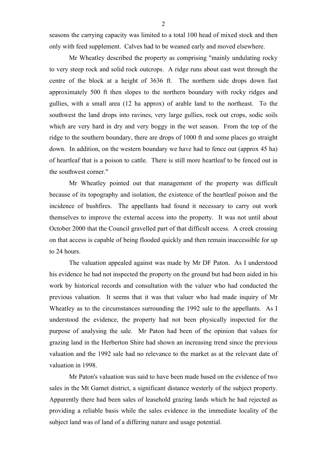seasons the carrying capacity was limited to a total 100 head of mixed stock and then only with feed supplement. Calves had to be weaned early and moved elsewhere.

Mr Wheatley described the property as comprising "mainly undulating rocky to very steep rock and solid rock outcrops. A ridge runs about east west through the centre of the block at a height of 3636 ft. The northern side drops down fast approximately 500 ft then slopes to the northern boundary with rocky ridges and gullies, with a small area (12 ha approx) of arable land to the northeast. To the southwest the land drops into ravines, very large gullies, rock out crops, sodic soils which are very hard in dry and very boggy in the wet season. From the top of the ridge to the southern boundary, there are drops of 1000 ft and some places go straight down. In addition, on the western boundary we have had to fence out (approx 45 ha) of heartleaf that is a poison to cattle. There is still more heartleaf to be fenced out in the southwest corner."

Mr Wheatley pointed out that management of the property was difficult because of its topography and isolation, the existence of the heartleaf poison and the incidence of bushfires. The appellants had found it necessary to carry out work themselves to improve the external access into the property. It was not until about October 2000 that the Council gravelled part of that difficult access. A creek crossing on that access is capable of being flooded quickly and then remain inaccessible for up to 24 hours.

The valuation appealed against was made by Mr DF Paton. As I understood his evidence he had not inspected the property on the ground but had been aided in his work by historical records and consultation with the valuer who had conducted the previous valuation. It seems that it was that valuer who had made inquiry of Mr Wheatley as to the circumstances surrounding the 1992 sale to the appellants. As I understood the evidence, the property had not been physically inspected for the purpose of analysing the sale. Mr Paton had been of the opinion that values for grazing land in the Herberton Shire had shown an increasing trend since the previous valuation and the 1992 sale had no relevance to the market as at the relevant date of valuation in 1998.

Mr Paton's valuation was said to have been made based on the evidence of two sales in the Mt Garnet district, a significant distance westerly of the subject property. Apparently there had been sales of leasehold grazing lands which he had rejected as providing a reliable basis while the sales evidence in the immediate locality of the subject land was of land of a differing nature and usage potential.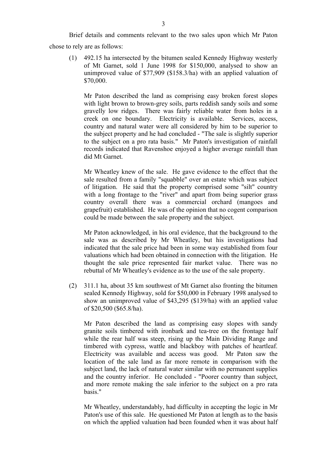Brief details and comments relevant to the two sales upon which Mr Paton chose to rely are as follows:

(1) 492.15 ha intersected by the bitumen sealed Kennedy Highway westerly of Mt Garnet, sold 1 June 1998 for \$150,000, analysed to show an unimproved value of \$77,909 (\$158.3/ha) with an applied valuation of \$70,000.

Mr Paton described the land as comprising easy broken forest slopes with light brown to brown-grey soils, parts reddish sandy soils and some gravelly low ridges. There was fairly reliable water from holes in a creek on one boundary. Electricity is available. Services, access, country and natural water were all considered by him to be superior to the subject property and he had concluded - "The sale is slightly superior to the subject on a pro rata basis." Mr Paton's investigation of rainfall records indicated that Ravenshoe enjoyed a higher average rainfall than did Mt Garnet.

Mr Wheatley knew of the sale. He gave evidence to the effect that the sale resulted from a family "squabble" over an estate which was subject of litigation. He said that the property comprised some "silt" country with a long frontage to the "river" and apart from being superior grass country overall there was a commercial orchard (mangoes and grapefruit) established. He was of the opinion that no cogent comparison could be made between the sale property and the subject.

Mr Paton acknowledged, in his oral evidence, that the background to the sale was as described by Mr Wheatley, but his investigations had indicated that the sale price had been in some way established from four valuations which had been obtained in connection with the litigation. He thought the sale price represented fair market value. There was no rebuttal of Mr Wheatley's evidence as to the use of the sale property.

(2) 311.1 ha, about 35 km southwest of Mt Garnet also fronting the bitumen sealed Kennedy Highway, sold for \$50,000 in February 1998 analysed to show an unimproved value of \$43,295 (\$139/ha) with an applied value of \$20,500 (\$65.8/ha).

Mr Paton described the land as comprising easy slopes with sandy granite soils timbered with ironbark and tea-tree on the frontage half while the rear half was steep, rising up the Main Dividing Range and timbered with cypress, wattle and blackboy with patches of heartleaf. Electricity was available and access was good. Mr Paton saw the location of the sale land as far more remote in comparison with the subject land, the lack of natural water similar with no permanent supplies and the country inferior. He concluded - "Poorer country than subject, and more remote making the sale inferior to the subject on a pro rata basis."

Mr Wheatley, understandably, had difficulty in accepting the logic in Mr Paton's use of this sale. He questioned Mr Paton at length as to the basis on which the applied valuation had been founded when it was about half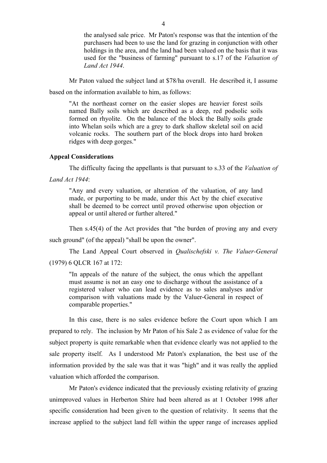the analysed sale price. Mr Paton's response was that the intention of the purchasers had been to use the land for grazing in conjunction with other holdings in the area, and the land had been valued on the basis that it was used for the "business of farming" pursuant to s.17 of the *Valuation of Land Act 1944*.

Mr Paton valued the subject land at \$78/ha overall. He described it, I assume

based on the information available to him, as follows:

"At the northeast corner on the easier slopes are heavier forest soils named Bally soils which are described as a deep, red podsolic soils formed on rhyolite. On the balance of the block the Bally soils grade into Whelan soils which are a grey to dark shallow skeletal soil on acid volcanic rocks. The southern part of the block drops into hard broken ridges with deep gorges."

## **Appeal Considerations**

The difficulty facing the appellants is that pursuant to s.33 of the *Valuation of* 

*Land Act 1944*:

"Any and every valuation, or alteration of the valuation, of any land made, or purporting to be made, under this Act by the chief executive shall be deemed to be correct until proved otherwise upon objection or appeal or until altered or further altered."

Then s.45(4) of the Act provides that "the burden of proving any and every

such ground" (of the appeal) "shall be upon the owner".

The Land Appeal Court observed in *Qualischefski v. The Valuer-General* (1979) 6 QLCR 167 at 172:

"In appeals of the nature of the subject, the onus which the appellant must assume is not an easy one to discharge without the assistance of a registered valuer who can lead evidence as to sales analyses and/or comparison with valuations made by the Valuer-General in respect of comparable properties."

In this case, there is no sales evidence before the Court upon which I am prepared to rely. The inclusion by Mr Paton of his Sale 2 as evidence of value for the subject property is quite remarkable when that evidence clearly was not applied to the sale property itself. As I understood Mr Paton's explanation, the best use of the information provided by the sale was that it was "high" and it was really the applied valuation which afforded the comparison.

Mr Paton's evidence indicated that the previously existing relativity of grazing unimproved values in Herberton Shire had been altered as at 1 October 1998 after specific consideration had been given to the question of relativity. It seems that the increase applied to the subject land fell within the upper range of increases applied